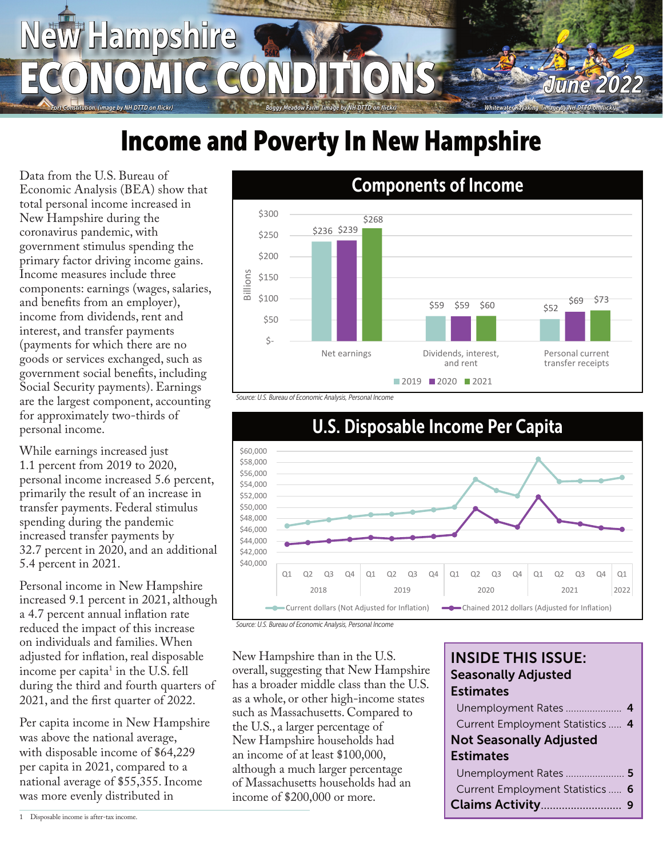# *Fort Constitution (image by NH DTTD on flickr) Boggy Meadow Farm (image by NH DTTD on flickr) Whitewater Kayaking (image by NH DTTD on flickr)* New Hampshire ECONOMIC CONDITIONS *June 2022*

## **Income and Poverty In New Hampshire**

Data from the U.S. Bureau of Economic Analysis (BEA) show that total personal income increased in New Hampshire during the coronavirus pandemic, with government stimulus spending the primary factor driving income gains. Income measures include three components: earnings (wages, salaries, and benefits from an employer), income from dividends, rent and interest, and transfer payments (payments for which there are no goods or services exchanged, such as government social benefits, including Social Security payments). Earnings are the largest component, accounting for approximately two-thirds of personal income.

While earnings increased just 1.1 percent from 2019 to 2020, personal income increased 5.6 percent, primarily the result of an increase in transfer payments. Federal stimulus spending during the pandemic increased transfer payments by 32.7 percent in 2020, and an additional 5.4 percent in 2021.

Personal income in New Hampshire increased 9.1 percent in 2021, although a 4.7 percent annual inflation rate reduced the impact of this increase on individuals and families. When adjusted for inflation, real disposable income per capita $^1$  in the U.S. fell during the third and fourth quarters of 2021, and the first quarter of 2022.

Per capita income in New Hampshire was above the national average, with disposable income of \$64,229 per capita in 2021, compared to a national average of \$55,355. Income was more evenly distributed in



*Source: U.S. Bureau of Economic Analysis, Personal Income*





New Hampshire than in the U.S. overall, suggesting that New Hampshire has a broader middle class than the U.S. as a whole, or other high-income states such as Massachusetts. Compared to the U.S., a larger percentage of New Hampshire households had an income of at least \$100,000, although a much larger percentage of Massachusetts households had an income of \$200,000 or more.

#### INSIDE THIS ISSUE: Seasonally Adjusted **Estimates**

| Current Employment Statistics  4 |  |
|----------------------------------|--|
| <b>Not Seasonally Adjusted</b>   |  |
| <b>Estimates</b>                 |  |
|                                  |  |
| Current Employment Statistics  6 |  |
|                                  |  |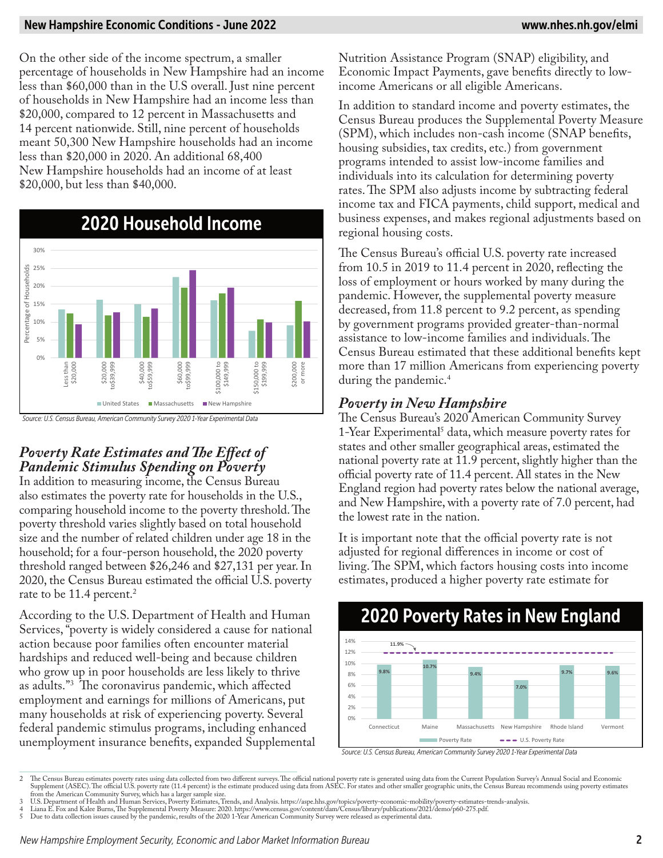#### New Hampshire Economic Conditions - June 2022 www.nhes.nh.gov/elmi

On the other side of the income spectrum, a smaller percentage of households in New Hampshire had an income less than \$60,000 than in the U.S overall. Just nine percent of households in New Hampshire had an income less than \$20,000, compared to 12 percent in Massachusetts and 14 percent nationwide. Still, nine percent of households meant 50,300 New Hampshire households had an income less than \$20,000 in 2020. An additional 68,400 New Hampshire households had an income of at least \$20,000, but less than \$40,000.



### *Poverty Rate Estimates and The Effect of Pandemic Stimulus Spending on Poverty*

In addition to measuring income, the Census Bureau also estimates the poverty rate for households in the U.S., comparing household income to the poverty threshold. The poverty threshold varies slightly based on total household size and the number of related children under age 18 in the household; for a four-person household, the 2020 poverty threshold ranged between \$26,246 and \$27,131 per year. In 2020, the Census Bureau estimated the official U.S. poverty rate to be 11.4 percent.<sup>2</sup>

According to the U.S. Department of Health and Human Services, "poverty is widely considered a cause for national action because poor families often encounter material hardships and reduced well-being and because children who grow up in poor households are less likely to thrive as adults."3 The coronavirus pandemic, which affected employment and earnings for millions of Americans, put many households at risk of experiencing poverty. Several federal pandemic stimulus programs, including enhanced unemployment insurance benefits, expanded Supplemental Nutrition Assistance Program (SNAP) eligibility, and Economic Impact Payments, gave benefits directly to lowincome Americans or all eligible Americans.

In addition to standard income and poverty estimates, the Census Bureau produces the Supplemental Poverty Measure (SPM), which includes non-cash income (SNAP benefits, housing subsidies, tax credits, etc.) from government programs intended to assist low-income families and individuals into its calculation for determining poverty rates. The SPM also adjusts income by subtracting federal income tax and FICA payments, child support, medical and business expenses, and makes regional adjustments based on regional housing costs.

The Census Bureau's official U.S. poverty rate increased from 10.5 in 2019 to 11.4 percent in 2020, reflecting the loss of employment or hours worked by many during the pandemic. However, the supplemental poverty measure decreased, from 11.8 percent to 9.2 percent, as spending by government programs provided greater-than-normal assistance to low-income families and individuals. The Census Bureau estimated that these additional benefits kept more than 17 million Americans from experiencing poverty during the pandemic.<sup>4</sup>

### *Poverty in New Hampshire*

The Census Bureau's 2020 American Community Survey 1-Year Experimental<sup>5</sup> data, which measure poverty rates for states and other smaller geographical areas, estimated the national poverty rate at 11.9 percent, slightly higher than the official poverty rate of 11.4 percent. All states in the New England region had poverty rates below the national average, and New Hampshire, with a poverty rate of 7.0 percent, had the lowest rate in the nation.

It is important note that the official poverty rate is not adjusted for regional differences in income or cost of living. The SPM, which factors housing costs into income estimates, produced a higher poverty rate estimate for



#### *Source: U.S. Census Bureau, American Community Survey 2020 1-Year Experimental Data*

2 The Census Bureau estimates poverty rates using data collected from two different surveys. The official national poverty rate is generated using data from the Current Population Survey's Annual Social and Economic Supplement (ASEC). The official U.S. poverty rate (11.4 percent) is the estimate produced using data from ASEC. For states and other smaller geographic units, the Census Bureau recommends using poverty estimates

from the American Community Survey, which has a larger sample size.<br>3 U.S. Department of Health and Human Services, Poverty Estimates, Trends, and Analysis. https://aspe.hhs.gov/topics/poverty-economic-mobility/poverty-

4 Liana E. Fox and Kalee Burns, The Supplemental Poverty Measure: 2020. https://www.census.gov/content/dam/Census/library/publications/2021/demo/p60-275.pdf. 5 Due to data collection issues caused by the pandemic, results of the 2020 1-Year American Community Survey were released as experimental data.

*New Hampshire Employment Security, Economic and Labor Market Information Bureau* 2